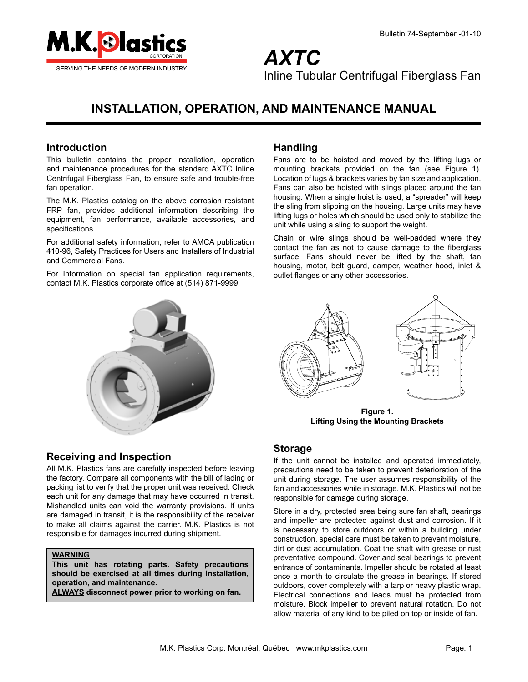

*AXTC* Inline Tubular Centrifugal Fiberglass Fan

# **INSTALLATION, OPERATION, AND MAINTENANCE MANUAL**

### **Introduction**

This bulletin contains the proper installation, operation and maintenance procedures for the standard AXTC Inline Centrifugal Fiberglass Fan, to ensure safe and trouble-free fan operation.

The M.K. Plastics catalog on the above corrosion resistant FRP fan, provides additional information describing the equipment, fan performance, available accessories, and specifications.

For additional safety information, refer to AMCA publication 410-96, Safety Practices for Users and Installers of Industrial and Commercial Fans.

For Information on special fan application requirements, contact M.K. Plastics corporate office at (514) 871-9999.



### **Handling**

Fans are to be hoisted and moved by the lifting lugs or mounting brackets provided on the fan (see Figure 1). Location of lugs & brackets varies by fan size and application. Fans can also be hoisted with slings placed around the fan housing. When a single hoist is used, a "spreader" will keep the sling from slipping on the housing. Large units may have lifting lugs or holes which should be used only to stabilize the unit while using a sling to support the weight.

Chain or wire slings should be well-padded where they contact the fan as not to cause damage to the fiberglass surface. Fans should never be lifted by the shaft, fan housing, motor, belt guard, damper, weather hood, inlet & outlet flanges or any other accessories.



**Figure 1. Lifting Using the Mounting Brackets**

### **Storage**

If the unit cannot be installed and operated immediately, precautions need to be taken to prevent deterioration of the unit during storage. The user assumes responsibility of the fan and accessories while in storage. M.K. Plastics will not be responsible for damage during storage.

Store in a dry, protected area being sure fan shaft, bearings and impeller are protected against dust and corrosion. If it is necessary to store outdoors or within a building under construction, special care must be taken to prevent moisture, dirt or dust accumulation. Coat the shaft with grease or rust preventative compound. Cover and seal bearings to prevent entrance of contaminants. Impeller should be rotated at least once a month to circulate the grease in bearings. If stored outdoors, cover completely with a tarp or heavy plastic wrap. Electrical connections and leads must be protected from moisture. Block impeller to prevent natural rotation. Do not allow material of any kind to be piled on top or inside of fan.

### **Receiving and Inspection**

All M.K. Plastics fans are carefully inspected before leaving the factory. Compare all components with the bill of lading or packing list to verify that the proper unit was received. Check each unit for any damage that may have occurred in transit. Mishandled units can void the warranty provisions. If units are damaged in transit, it is the responsibility of the receiver to make all claims against the carrier. M.K. Plastics is not responsible for damages incurred during shipment.

#### **WARNING**

**This unit has rotating parts. Safety precautions should be exercised at all times during installation, operation, and maintenance.** 

**ALWAYS disconnect power prior to working on fan.**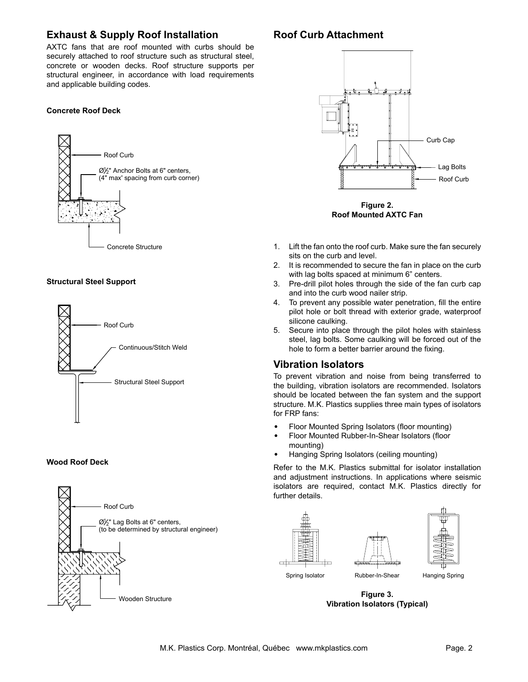### **Exhaust & Supply Roof Installation**

AXTC fans that are roof mounted with curbs should be securely attached to roof structure such as structural steel, concrete or wooden decks. Roof structure supports per structural engineer, in accordance with load requirements and applicable building codes.

#### **Concrete Roof Deck**



#### **Structural Steel Support**



#### **Wood Roof Deck**



## **Roof Curb Attachment**



**Roof Mounted AXTC Fan Figure 2.**

- 1. Lift the fan onto the roof curb. Make sure the fan securely sits on the curb and level.
- 2. It is recommended to secure the fan in place on the curb with lag bolts spaced at minimum 6" centers.
- 3. Pre-drill pilot holes through the side of the fan curb cap and into the curb wood nailer strip.
- 4. To prevent any possible water penetration, fill the entire pilot hole or bolt thread with exterior grade, waterproof silicone caulking.
- 5. Secure into place through the pilot holes with stainless steel, lag bolts. Some caulking will be forced out of the hole to form a better barrier around the fixing.

### **Vibration Isolators**

To prevent vibration and noise from being transferred to the building, vibration isolators are recommended. Isolators should be located between the fan system and the support structure. M.K. Plastics supplies three main types of isolators for FRP fans:

- • Floor Mounted Spring Isolators (floor mounting)
- Floor Mounted Rubber-In-Shear Isolators (floor mounting)
- Hanging Spring Isolators (ceiling mounting)

Refer to the M.K. Plastics submittal for isolator installation and adjustment instructions. In applications where seismic isolators are required, contact M.K. Plastics directly for further details.



Concrete Structure **Vibration Isolators (Typical)Figure 3.**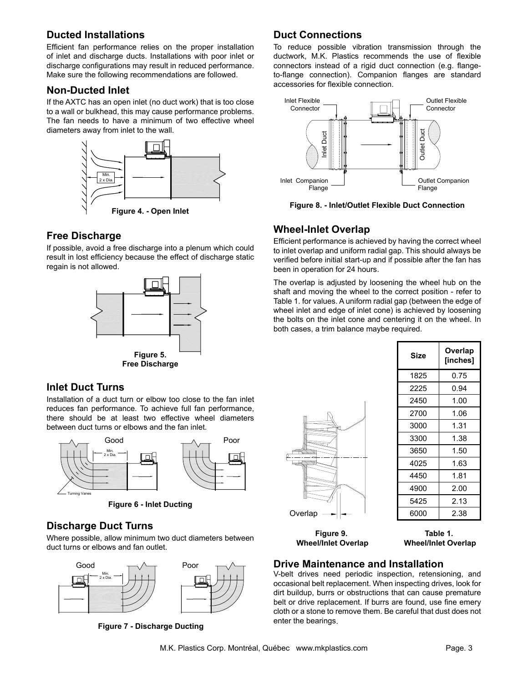## **Ducted Installations**

Efficient fan performance relies on the proper installation of inlet and discharge ducts. Installations with poor inlet or discharge configurations may result in reduced performance. Make sure the following recommendations are followed.

## **Non-Ducted Inlet**

If the AXTC has an open inlet (no duct work) that is too close to a wall or bulkhead, this may cause performance problems. The fan needs to have a minimum of two effective wheel diameters away from inlet to the wall.



## **Free Discharge**

If possible, avoid a free discharge into a plenum which could result in lost efficiency because the effect of discharge static regain is not allowed.



## **Inlet Duct Turns**

Installation of a duct turn or elbow too close to the fan inlet reduces fan performance. To achieve full fan performance, there should be at least two effective wheel diameters between duct turns or elbows and the fan inlet.



**Figure 6 - Inlet Ducting**

## **Discharge Duct Turns**

Where possible, allow minimum two duct diameters between duct turns or elbows and fan outlet.



**Figure 7 - Discharge Ducting**

## **Duct Connections**

To reduce possible vibration transmission through the ductwork, M.K. Plastics recommends the use of flexible connectors instead of a rigid duct connection (e.g. flangeto-flange connection). Companion flanges are standard accessories for flexible connection.



**Figure 8. - Inlet/Outlet Flexible Duct Connection**

## **Wheel-Inlet Overlap**

Efficient performance is achieved by having the correct wheel to inlet overlap and uniform radial gap. This should always be to mee overap and amountadal gap. This chodia amayo be verified before initial start-up and if possible after the fan has been in operation for 24 hours.

The overlap is adjusted by loosening the wheel hub on the shaft and moving the wheel to the correct position - refer to Table 1. for values. A uniform radial gap (between the edge of wheel inlet and edge of inlet cone) is achieved by loosening the bolts on the inlet cone and centering it on the wheel. In both cases, a trim balance maybe required.

|         | ∕ |
|---------|---|
|         |   |
| Overlap |   |

| <b>Size</b> | Overlap<br>[inches] |
|-------------|---------------------|
| 1825        | 0.75                |
| 2225        | 0.94                |
| 2450        | 1.00                |
| 2700        | 1.06                |
| 3000        | 1.31                |
| 3300        | 1.38                |
| 3650        | 1.50                |
| 4025        | 1.63                |
| 4450        | 1.81                |
| 4900        | 2.00                |
| 5425        | 2.13                |
| 6000        | 2.38                |

**Figure 9. Wheel/Inlet Overlap**

**Table 1. Wheel/Inlet Overlap**

## **Drive Maintenance and Installation**

V-belt drives need periodic inspection, retensioning, and occasional belt replacement. When inspecting drives, look for dirt buildup, burrs or obstructions that can cause premature belt or drive replacement. If burrs are found, use fine emery cloth or a stone to remove them. Be careful that dust does not enter the bearings.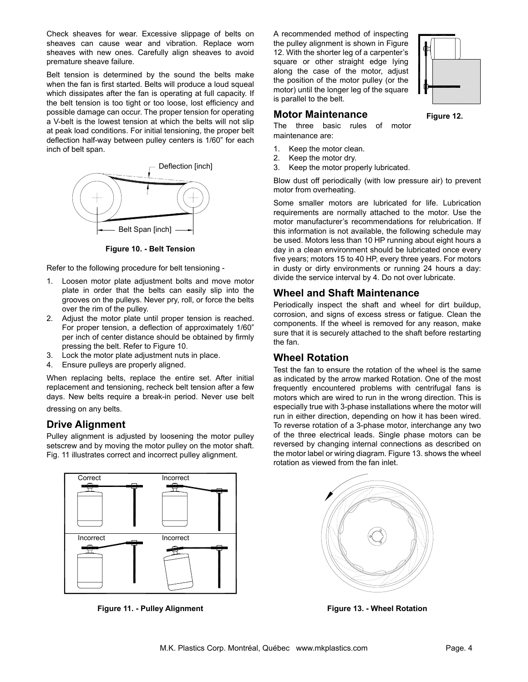Check sheaves for wear. Excessive slippage of belts on sheaves can cause wear and vibration. Replace worn sheaves with new ones. Carefully align sheaves to avoid premature sheave failure.

Belt tension is determined by the sound the belts make  $\frac{a_0}{b_0}$ when the fan is first started. Belts will produce a loud squeal which dissipates after the fan is operating at full capacity. If the belt tension is too tight or too loose, lost efficiency and possible damage can occur. The proper tension for operating a V-belt is the lowest tension at which the belts will not slip at peak load conditions. For initial tensioning, the proper belt deflection half-way between pulley centers is 1/60" for each inch of belt span.



**Figure 10. - Belt Tension**

Refer to the following procedure for belt tensioning -

- 1. Loosen motor plate adjustment bolts and move motor plate in order that the belts can easily slip into the grooves on the pulleys. Never pry, roll, or force the belts over the rim of the pulley.
- 2. Adjust the motor plate until proper tension is reached. For proper tension, a deflection of approximately 1/60" per inch of center distance should be obtained by firmly pressing the belt. Refer to Figure 10.
- 3. Lock the motor plate adjustment nuts in place.
- 4. Ensure pulleys are properly aligned.

When replacing belts, replace the entire set. After initial replacement and tensioning, recheck belt tension after a few days. New belts require a break-in period. Never use belt

dressing on any belts.

### **Drive Alignment**

Pulley alignment is adjusted by loosening the motor pulley setscrew and by moving the motor pulley on the motor shaft. Fig. 11 illustrates correct and incorrect pulley alignment.



**Figure 11. - Pulley Alignment**

A recommended method of inspecting the pulley alignment is shown in Figure 12. With the shorter leg of a carpenter's square or other straight edge lying along the case of the motor, adjust the position of the motor pulley (or the motor) until the longer leg of the square is parallel to the belt.



#### **Motor Maintenance**

**Figure 12.**

The three basic rules of motor maintenance are:

- 1. Keep the motor clean.
- 2. Keep the motor dry.
- 3. Keep the motor properly lubricated.

Blow dust off periodically (with low pressure air) to prevent motor from overheating.

Some smaller motors are lubricated for life. Lubrication requirements are normally attached to the motor. Use the motor manufacturer's recommendations for relubrication. If this information is not available, the following schedule may be used. Motors less than 10 HP running about eight hours a day in a clean environment should be lubricated once every five years; motors 15 to 40 HP, every three years. For motors in dusty or dirty environments or running 24 hours a day: divide the service interval by 4. Do not over lubricate.

### **Wheel and Shaft Maintenance**

Periodically inspect the shaft and wheel for dirt buildup, corrosion, and signs of excess stress or fatigue. Clean the components. If the wheel is removed for any reason, make sure that it is securely attached to the shaft before restarting the fan.

### **Wheel Rotation**

Test the fan to ensure the rotation of the wheel is the same as indicated by the arrow marked Rotation. One of the most frequently encountered problems with centrifugal fans is motors which are wired to run in the wrong direction. This is especially true with 3-phase installations where the motor will run in either direction, depending on how it has been wired. To reverse rotation of a 3-phase motor, interchange any two of the three electrical leads. Single phase motors can be reversed by changing internal connections as described on the motor label or wiring diagram. Figure 13. shows the wheel rotation as viewed from the fan inlet.



**Figure 13. - Wheel Rotation**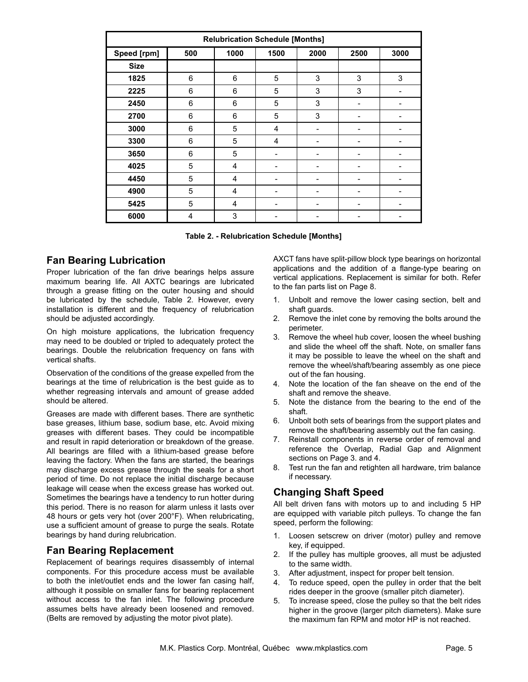| <b>Relubrication Schedule [Months]</b> |     |      |                |      |      |      |
|----------------------------------------|-----|------|----------------|------|------|------|
| Speed [rpm]                            | 500 | 1000 | 1500           | 2000 | 2500 | 3000 |
| <b>Size</b>                            |     |      |                |      |      |      |
| 1825                                   | 6   | 6    | 5              | 3    | 3    | 3    |
| 2225                                   | 6   | 6    | 5              | 3    | 3    |      |
| 2450                                   | 6   | 6    | 5              | 3    |      |      |
| 2700                                   | 6   | 6    | 5              | 3    |      |      |
| 3000                                   | 6   | 5    | $\overline{4}$ |      |      |      |
| 3300                                   | 6   | 5    | 4              |      |      |      |
| 3650                                   | 6   | 5    |                |      |      |      |
| 4025                                   | 5   | 4    |                |      |      |      |
| 4450                                   | 5   | 4    | ۰              |      |      |      |
| 4900                                   | 5   | 4    |                |      |      |      |
| 5425                                   | 5   | 4    | -              | -    |      |      |
| 6000                                   | 4   | 3    |                |      |      |      |

**Table 2. - Relubrication Schedule [Months]**

### **Fan Bearing Lubrication**

Proper lubrication of the fan drive bearings helps assure maximum bearing life. All AXTC bearings are lubricated through a grease fitting on the outer housing and should be lubricated by the schedule, Table 2. However, every installation is different and the frequency of relubrication should be adjusted accordingly.

On high moisture applications, the lubrication frequency may need to be doubled or tripled to adequately protect the bearings. Double the relubrication frequency on fans with vertical shafts.

Observation of the conditions of the grease expelled from the bearings at the time of relubrication is the best guide as to whether regreasing intervals and amount of grease added should be altered.

Greases are made with different bases. There are synthetic base greases, lithium base, sodium base, etc. Avoid mixing greases with different bases. They could be incompatible and result in rapid deterioration or breakdown of the grease. All bearings are filled with a lithium-based grease before leaving the factory. When the fans are started, the bearings may discharge excess grease through the seals for a short period of time. Do not replace the initial discharge because leakage will cease when the excess grease has worked out. Sometimes the bearings have a tendency to run hotter during this period. There is no reason for alarm unless it lasts over 48 hours or gets very hot (over 200°F). When relubricating, use a sufficient amount of grease to purge the seals. Rotate bearings by hand during relubrication.

## **Fan Bearing Replacement**

Replacement of bearings requires disassembly of internal components. For this procedure access must be available to both the inlet/outlet ends and the lower fan casing half, although it possible on smaller fans for bearing replacement without access to the fan inlet. The following procedure assumes belts have already been loosened and removed. (Belts are removed by adjusting the motor pivot plate).

AXCT fans have split-pillow block type bearings on horizontal applications and the addition of a flange-type bearing on vertical applications. Replacement is similar for both. Refer to the fan parts list on Page 8.

- 1. Unbolt and remove the lower casing section, belt and shaft guards.
- 2. Remove the inlet cone by removing the bolts around the perimeter.
- 3. Remove the wheel hub cover, loosen the wheel bushing and slide the wheel off the shaft. Note, on smaller fans it may be possible to leave the wheel on the shaft and remove the wheel/shaft/bearing assembly as one piece out of the fan housing.
- 4. Note the location of the fan sheave on the end of the shaft and remove the sheave.
- 5. Note the distance from the bearing to the end of the shaft.
- 6. Unbolt both sets of bearings from the support plates and remove the shaft/bearing assembly out the fan casing.
- 7. Reinstall components in reverse order of removal and reference the Overlap, Radial Gap and Alignment sections on Page 3. and 4.
- 8. Test run the fan and retighten all hardware, trim balance if necessary.

## **Changing Shaft Speed**

All belt driven fans with motors up to and including 5 HP are equipped with variable pitch pulleys. To change the fan speed, perform the following:

- 1. Loosen setscrew on driver (motor) pulley and remove key, if equipped.
- 2. If the pulley has multiple grooves, all must be adjusted to the same width.
- 3. After adjustment, inspect for proper belt tension.
- 4. To reduce speed, open the pulley in order that the belt rides deeper in the groove (smaller pitch diameter).
- 5. To increase speed, close the pulley so that the belt rides higher in the groove (larger pitch diameters). Make sure the maximum fan RPM and motor HP is not reached.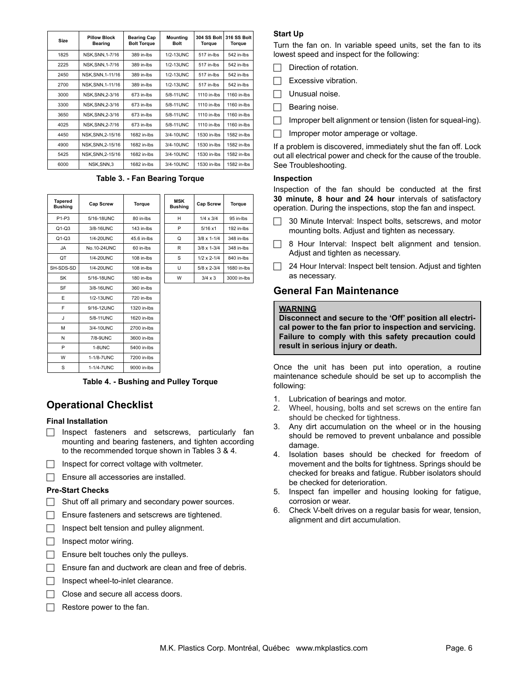| Size | <b>Pillow Block</b><br><b>Bearing</b> | <b>Bearing Cap</b><br><b>Bolt Torque</b> | <b>Mounting</b><br><b>Bolt</b> | 304 SS Bolt<br>Torque | 316 SS Bolt<br>Torque |
|------|---------------------------------------|------------------------------------------|--------------------------------|-----------------------|-----------------------|
| 1825 | NSK.SNN.1-7/16                        | 389 in-lbs                               | 1/2-13UNC                      | 517 in-lbs            | 542 in-lbs            |
| 2225 | NSK, SNN, 1-7/16                      | 389 in-Ibs                               | 1/2-13UNC                      | 517 in-lbs            | 542 in-lbs            |
| 2450 | NSK.SNN.1-11/16                       | 389 in-lbs                               | 1/2-13UNC                      | 517 in-lbs            | 542 in-lbs            |
| 2700 | NSK.SNN.1-11/16                       | 389 in-lbs                               | 1/2-13UNC                      | 517 in-lbs            | 542 in-lbs            |
| 3000 | NSK.SNN.2-3/16                        | 673 in-lbs                               | 5/8-11UNC                      | 1110 in-lbs           | 1160 in-lbs           |
| 3300 | NSK.SNN.2-3/16                        | 673 in-lbs                               | 5/8-11UNC                      | 1110 in-lbs           | 1160 in-lbs           |
| 3650 | NSK.SNN.2-3/16                        | 673 in-lbs                               | 5/8-11UNC                      | 1110 in-lbs           | 1160 in-lbs           |
| 4025 | NSK.SNN.2-7/16                        | 673 in-lbs                               | 5/8-11UNC                      | 1110 in-lbs           | 1160 in-lbs           |
| 4450 | NSK.SNN.2-15/16                       | 1682 in-lbs                              | 3/4-10UNC                      | 1530 in-lbs           | 1582 in-lbs           |
| 4900 | NSK.SNN.2-15/16                       | 1682 in-lbs                              | 3/4-10UNC                      | 1530 in-lbs           | 1582 in-lbs           |
| 5425 | NSK, SNN, 2-15/16                     | 1682 in-lbs                              | 3/4-10UNC                      | 1530 in-lbs           | 1582 in-lbs           |
| 6000 | NSK.SNN.3                             | 1682 in-lbs                              | 3/4-10UNC                      | 1530 in-lbs           | 1582 in-lbs           |

**Table 3. - Fan Bearing Torque**

| <b>Tapered</b><br><b>Bushing</b> | <b>Cap Screw</b> | <b>Torque</b> | <b>MSK</b><br><b>Bushing</b> | <b>Cap Screw</b>     | <b>Torque</b> |
|----------------------------------|------------------|---------------|------------------------------|----------------------|---------------|
| P <sub>1-P3</sub>                | 5/16-18UNC       | 80 in-lbs     | H                            | $1/4 \times 3/4$     | 95 in-lbs     |
| $Q1-Q3$                          | 3/8-16UNC        | 143 in-lbs    | P                            | 5/16x1               | 192 in-lbs    |
| $Q1-Q3$                          | 1/4-20UNC        | 45.6 in-lbs   | Q                            | $3/8 \times 1 - 1/4$ | 348 in-lbs    |
| <b>JA</b>                        | No.10-24UNC      | 60 in-lbs     | R                            | $3/8 \times 1 - 3/4$ | 348 in-lbs    |
| QT                               | 1/4-20UNC        | $108$ in-lbs  | S                            | $1/2 \times 2 - 1/4$ | 840 in-lbs    |
| SH-SDS-SD                        | 1/4-20UNC        | $108$ in-lbs  | U                            | $5/8 \times 2 - 3/4$ | 1680 in-lbs   |
| SK                               | 5/16-18UNC       | 180 in-lbs    | W                            | $3/4 \times 3$       | 3000 in-lbs   |
| SF                               | 3/8-16UNC        | 360 in-lbs    |                              |                      |               |
| E                                | 1/2-13UNC        | 720 in-lbs    |                              |                      |               |
| F                                | 9/16-12UNC       | 1320 in-lbs   |                              |                      |               |
| J                                | 5/8-11 UNC       | 1620 in-lbs   |                              |                      |               |
| М                                | 3/4-10UNC        | 2700 in-lbs   |                              |                      |               |
| N                                | 7/8-9UNC         | 3600 in-lbs   |                              |                      |               |
| P                                | 1-8UNC           | 5400 in-lbs   |                              |                      |               |
| W                                | 1-1/8-7UNC       | 7200 in-lbs   |                              |                      |               |
| S                                | 1-1/4-7UNC       | 9000 in-lbs   |                              |                      |               |

**Table 4. - Bushing and Pulley Torque**

## **Operational Checklist**

#### **Final Installation**

- $\Box$  Inspect fasteners and setscrews, particularly fan mounting and bearing fasteners, and tighten according to the recommended torque shown in Tables 3 & 4.
- $\Box$  Inspect for correct voltage with voltmeter.
- $\Box$  Ensure all accessories are installed.

#### **Pre-Start Checks**

- $\Box$  Shut off all primary and secondary power sources.
- $\Box$  Ensure fasteners and setscrews are tightened.
- $\Box$  Inspect belt tension and pulley alignment.
- $\Box$  Inspect motor wiring.
- $\Box$  Ensure belt touches only the pulleys.
- $\Box$  Ensure fan and ductwork are clean and free of debris.
- $\Box$  Inspect wheel-to-inlet clearance.
- $\Box$  Close and secure all access doors.
- Restore power to the fan.

#### **Start Up**

Turn the fan on. In variable speed units, set the fan to its lowest speed and inspect for the following:

- Direction of rotation.
- Excessive vibration.
- $\Box$  Unusual noise.
- $\Box$  Bearing noise.
- Improper belt alignment or tension (listen for squeal-ing).
- Improper motor amperage or voltage.

If a problem is discovered, immediately shut the fan off. Lock out all electrical power and check for the cause of the trouble. See Troubleshooting.

#### **Inspection**

Inspection of the fan should be conducted at the first **30 minute, 8 hour and 24 hour** intervals of satisfactory operation. During the inspections, stop the fan and inspect.

- 30 Minute Interval: Inspect bolts, setscrews, and motor mounting bolts. Adjust and tighten as necessary.
- $\Box$  8 Hour Interval: Inspect belt alignment and tension. Adjust and tighten as necessary.
- $\Box$  24 Hour Interval: Inspect belt tension. Adjust and tighten as necessary.

### **General Fan Maintenance**

#### **WARNING**

**Disconnect and secure to the 'Off' position all electrical power to the fan prior to inspection and servicing. Failure to comply with this safety precaution could result in serious injury or death.**

Once the unit has been put into operation, a routine maintenance schedule should be set up to accomplish the following:

- 1. Lubrication of bearings and motor.
- 2. Wheel, housing, bolts and set screws on the entire fan should be checked for tightness.
- 3. Any dirt accumulation on the wheel or in the housing should be removed to prevent unbalance and possible damage.
- 4. Isolation bases should be checked for freedom of movement and the bolts for tightness. Springs should be checked for breaks and fatigue. Rubber isolators should be checked for deterioration.
- 5. Inspect fan impeller and housing looking for fatigue, corrosion or wear.
- 6. Check V-belt drives on a regular basis for wear, tension, alignment and dirt accumulation.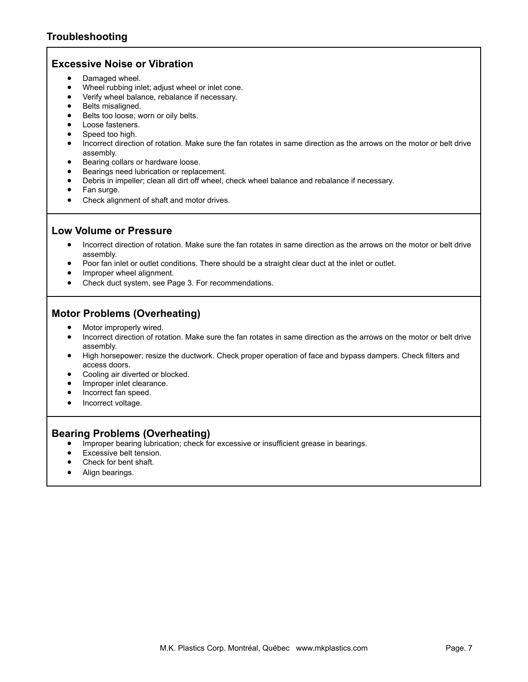### **Excessive Noise or Vibration**

- Damaged wheel.
- Wheel rubbing inlet; adjust wheel or inlet cone.
- • Verify wheel balance, rebalance if necessary.
- Belts misaligned.
- Belts too loose; worn or oily belts.
- Loose fasteners.
- Speed too high.
- Incorrect direction of rotation. Make sure the fan rotates in same direction as the arrows on the motor or belt drive assembly.
- Bearing collars or hardware loose.
- Bearings need lubrication or replacement.
- Debris in impeller; clean all dirt off wheel, check wheel balance and rebalance if necessary.
- Fan surge.
- Check alignment of shaft and motor drives.

### **Low Volume or Pressure**

- Incorrect direction of rotation. Make sure the fan rotates in same direction as the arrows on the motor or belt drive assembly.
- Poor fan inlet or outlet conditions. There should be a straight clear duct at the inlet or outlet.
- Improper wheel alignment.
- Check duct system, see Page 3. For recommendations.

### **Motor Problems (Overheating)**

- Motor improperly wired.
- Incorrect direction of rotation. Make sure the fan rotates in same direction as the arrows on the motor or belt drive assembly.
- • High horsepower; resize the ductwork. Check proper operation of face and bypass dampers. Check filters and access doors.
- Cooling air diverted or blocked.
- Improper inlet clearance.
- Incorrect fan speed.
- Incorrect voltage.

### **Bearing Problems (Overheating)**

- Improper bearing lubrication; check for excessive or insufficient grease in bearings.
- Excessive belt tension.
- Check for bent shaft.
- Align bearings.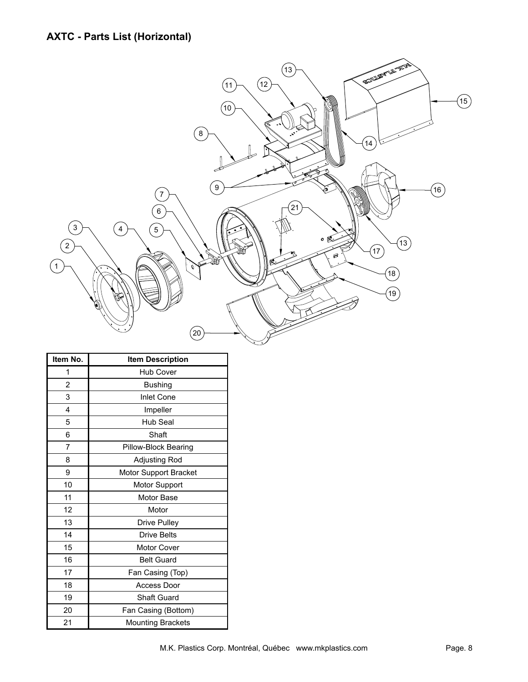

| Item No.       | <b>Item Description</b>  |
|----------------|--------------------------|
| 1              | <b>Hub Cover</b>         |
| $\overline{2}$ | <b>Bushing</b>           |
| 3              | <b>Inlet Cone</b>        |
| 4              | Impeller                 |
| 5              | Hub Seal                 |
| 6              | Shaft                    |
| 7              | Pillow-Block Bearing     |
| 8              | Adjusting Rod            |
| 9              | Motor Support Bracket    |
| 10             | Motor Support            |
| 11             | Motor Base               |
| 12             | Motor                    |
| 13             | <b>Drive Pulley</b>      |
| 14             | <b>Drive Belts</b>       |
| 15             | <b>Motor Cover</b>       |
| 16             | <b>Belt Guard</b>        |
| 17             | Fan Casing (Top)         |
| 18             | Access Door              |
| 19             | <b>Shaft Guard</b>       |
| 20             | Fan Casing (Bottom)      |
| 21             | <b>Mounting Brackets</b> |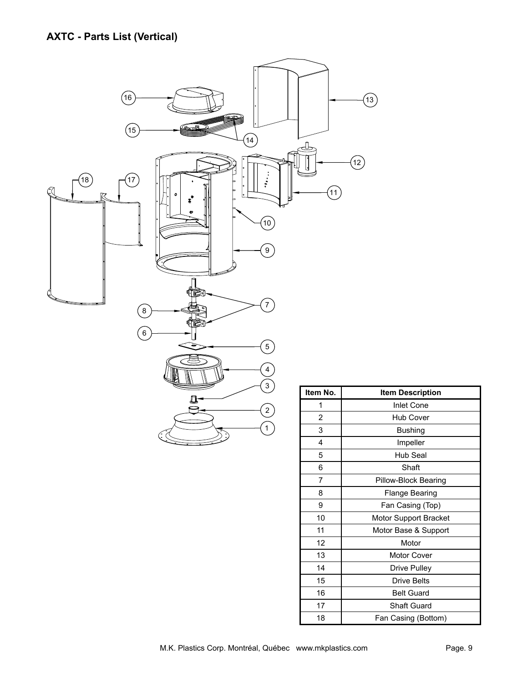

| ltem No.<br>Item Description |                       |  |  |
|------------------------------|-----------------------|--|--|
| 1                            | <b>Inlet Cone</b>     |  |  |
| 2                            | Hub Cover             |  |  |
| 3                            | <b>Bushing</b>        |  |  |
| 4                            | Impeller              |  |  |
| 5                            | Hub Seal              |  |  |
| 6                            | Shaft                 |  |  |
| 7                            | Pillow-Block Bearing  |  |  |
| 8                            | Flange Bearing        |  |  |
| 9                            | Fan Casing (Top)      |  |  |
| 10                           | Motor Support Bracket |  |  |
| 11                           | Motor Base & Support  |  |  |
| 12                           | Motor                 |  |  |
| 13                           | Motor Cover           |  |  |
| 14                           | Drive Pulley          |  |  |
| 15                           | <b>Drive Belts</b>    |  |  |
| 16                           | <b>Belt Guard</b>     |  |  |
| 17                           | <b>Shaft Guard</b>    |  |  |
| 18                           | Fan Casing (Bottom)   |  |  |